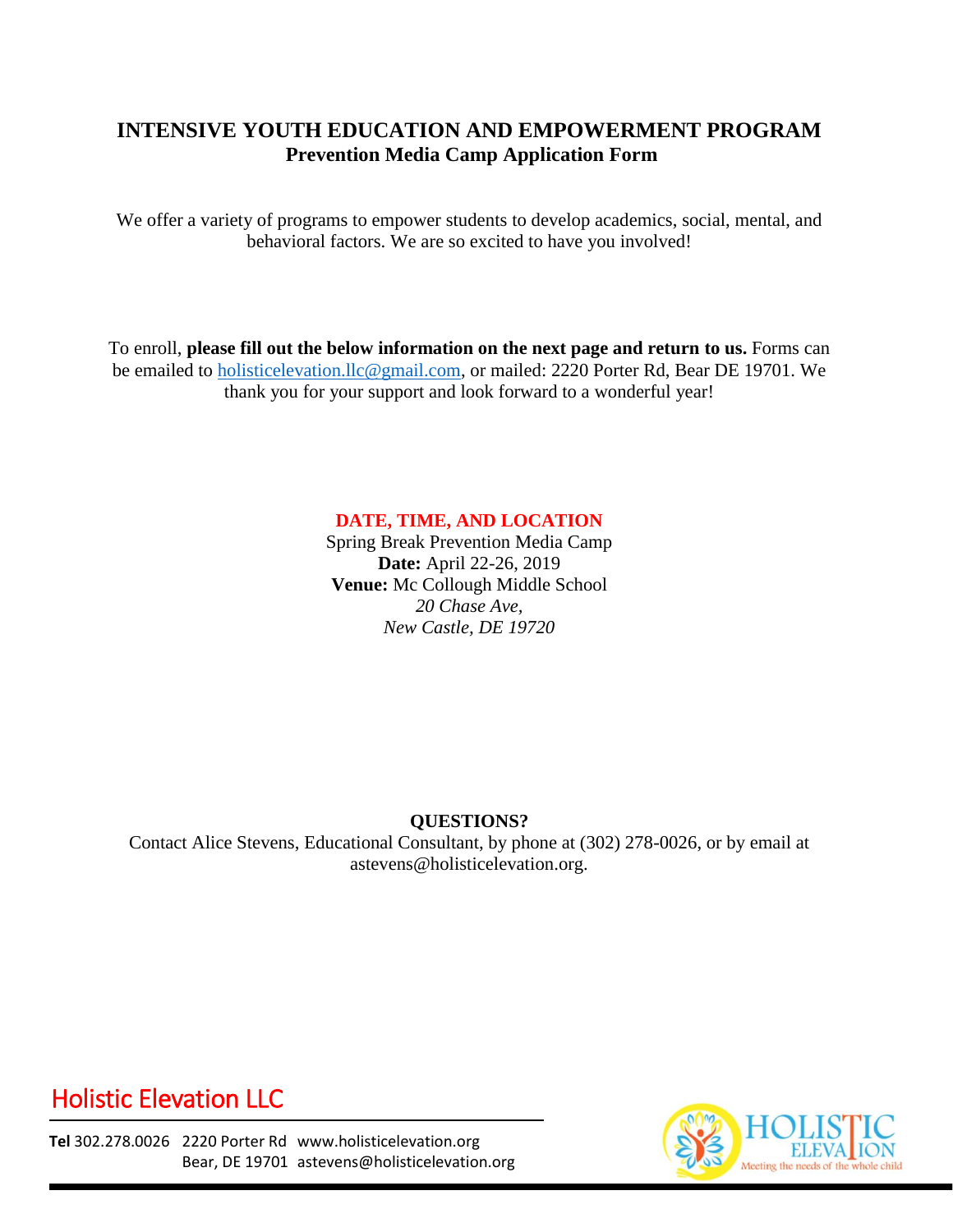### **INTENSIVE YOUTH EDUCATION AND EMPOWERMENT PROGRAM Prevention Media Camp Application Form**

We offer a variety of programs to empower students to develop academics, social, mental, and behavioral factors. We are so excited to have you involved!

To enroll, **please fill out the below information on the next page and return to us.** Forms can be emailed to [holisticelevation.llc@gmail.com,](mailto:holisticelevation.llc@gmail.com) or mailed: 2220 Porter Rd, Bear DE 19701. We thank you for your support and look forward to a wonderful year!

#### **DATE, TIME, AND LOCATION**

Spring Break Prevention Media Camp **Date:** April 22-26, 2019 **Venue:** Mc Collough Middle School *20 Chase Ave, New Castle, DE 19720*

#### **QUESTIONS?**

Contact Alice Stevens, Educational Consultant, by phone at (302) 278-0026, or by email at astevens@holisticelevation.org.

# Holistic Elevation LLC

**Tel** 302.278.0026 2220 Porter Rd www.holisticelevation.org Bear, DE 19701 astevens@holisticelevation.org